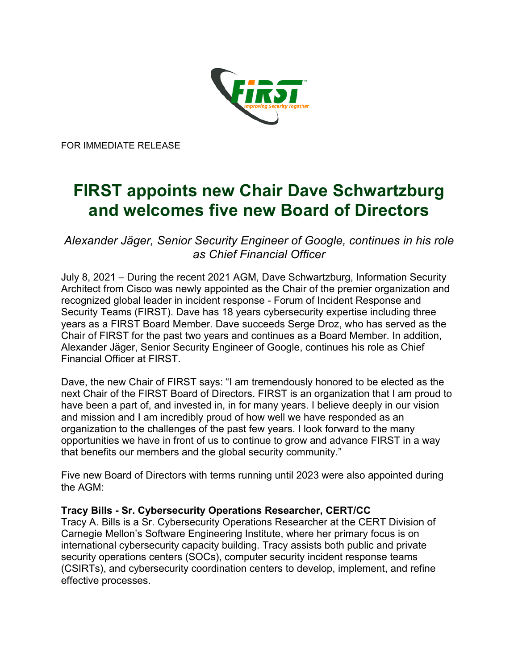

FOR IMMEDIATE RELEASE

# **FIRST appoints new Chair Dave Schwartzburg and welcomes five new Board of Directors**

*Alexander Jäger, Senior Security Engineer of Google, continues in his role as Chief Financial Officer* 

July 8, 2021 – During the recent 2021 AGM, Dave Schwartzburg, Information Security Architect from Cisco was newly appointed as the Chair of the premier organization and recognized global leader in incident response - Forum of Incident Response and Security Teams (FIRST). Dave has 18 years cybersecurity expertise including three years as a FIRST Board Member. Dave succeeds Serge Droz, who has served as the Chair of FIRST for the past two years and continues as a Board Member. In addition, Alexander Jäger, Senior Security Engineer of Google, continues his role as Chief Financial Officer at FIRST.

Dave, the new Chair of FIRST says: "I am tremendously honored to be elected as the next Chair of the FIRST Board of Directors. FIRST is an organization that I am proud to have been a part of, and invested in, in for many years. I believe deeply in our vision and mission and I am incredibly proud of how well we have responded as an organization to the challenges of the past few years. I look forward to the many opportunities we have in front of us to continue to grow and advance FIRST in a way that benefits our members and the global security community."

Five new Board of Directors with terms running until 2023 were also appointed during the AGM:

#### **Tracy Bills - Sr. Cybersecurity Operations Researcher, CERT/CC**

Tracy A. Bills is a Sr. Cybersecurity Operations Researcher at the CERT Division of Carnegie Mellon's Software Engineering Institute, where her primary focus is on international cybersecurity capacity building. Tracy assists both public and private security operations centers (SOCs), computer security incident response teams (CSIRTs), and cybersecurity coordination centers to develop, implement, and refine effective processes.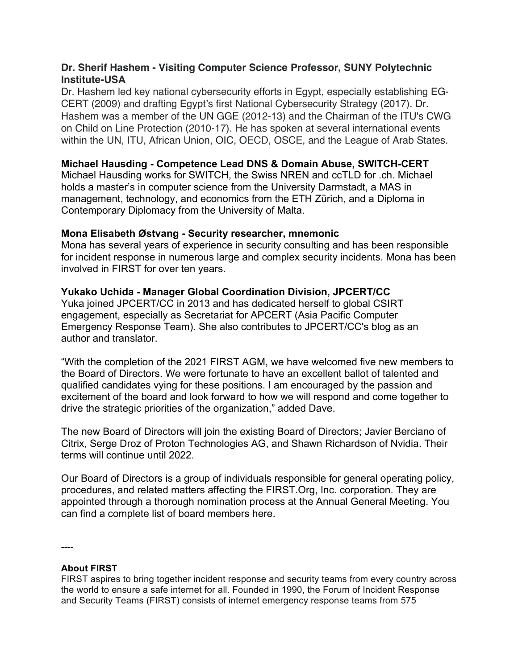### **Dr. Sherif Hashem - Visiting Computer Science Professor, SUNY Polytechnic Institute-USA**

Dr. Hashem led key national cybersecurity efforts in Egypt, especially establishing EG-CERT (2009) and drafting Egypt's first National Cybersecurity Strategy (2017). Dr. Hashem was a member of the UN GGE (2012-13) and the Chairman of the ITU's CWG on Child on Line Protection (2010-17). He has spoken at several international events within the UN, ITU, African Union, OIC, OECD, OSCE, and the League of Arab States.

## **Michael Hausding - Competence Lead DNS & Domain Abuse, SWITCH-CERT**

Michael Hausding works for SWITCH, the Swiss NREN and ccTLD for .ch. Michael holds a master's in computer science from the University Darmstadt, a MAS in management, technology, and economics from the ETH Zürich, and a Diploma in Contemporary Diplomacy from the University of Malta.

## **Mona Elisabeth Østvang - Security researcher, mnemonic**

Mona has several years of experience in security consulting and has been responsible for incident response in numerous large and complex security incidents. Mona has been involved in FIRST for over ten years.

## **Yukako Uchida - Manager Global Coordination Division, JPCERT/CC**

Yuka joined JPCERT/CC in 2013 and has dedicated herself to global CSIRT engagement, especially as Secretariat for APCERT (Asia Pacific Computer Emergency Response Team). She also contributes to JPCERT/CC's blog as an author and translator.

"With the completion of the 2021 FIRST AGM, we have welcomed five new members to the Board of Directors. We were fortunate to have an excellent ballot of talented and qualified candidates vying for these positions. I am encouraged by the passion and excitement of the board and look forward to how we will respond and come together to drive the strategic priorities of the organization," added Dave.

The new Board of Directors will join the existing Board of Directors; Javier Berciano of Citrix, Serge Droz of Proton Technologies AG, and Shawn Richardson of Nvidia. Their terms will continue until 2022.

Our Board of Directors is a group of individuals responsible for general operating policy, procedures, and related matters affecting the FIRST.Org, Inc. corporation. They are appointed through a thorough nomination process at the Annual General Meeting. You can find a complete list of board members here.

----

#### **About FIRST**

FIRST aspires to bring together incident response and security teams from every country across the world to ensure a safe internet for all. Founded in 1990, the Forum of Incident Response and Security Teams (FIRST) consists of internet emergency response teams from 575